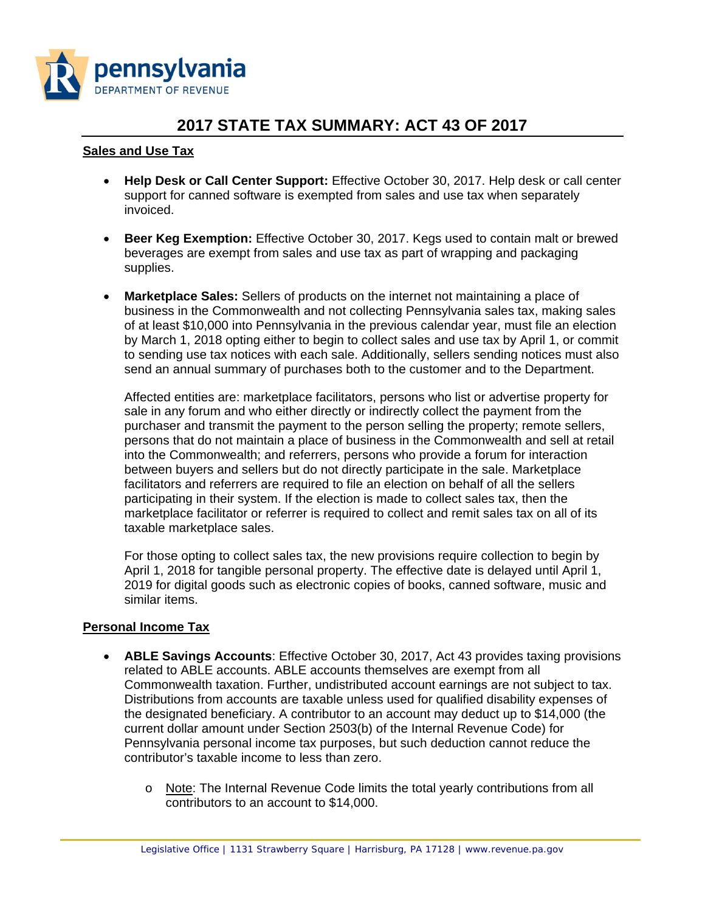

# **2017 STATE TAX SUMMARY: ACT 43 OF 2017**

#### **Sales and Use Tax**

- **Help Desk or Call Center Support:** Effective October 30, 2017. Help desk or call center support for canned software is exempted from sales and use tax when separately invoiced.
- **Beer Keg Exemption:** Effective October 30, 2017. Kegs used to contain malt or brewed beverages are exempt from sales and use tax as part of wrapping and packaging supplies.
- **Marketplace Sales:** Sellers of products on the internet not maintaining a place of business in the Commonwealth and not collecting Pennsylvania sales tax, making sales of at least \$10,000 into Pennsylvania in the previous calendar year, must file an election by March 1, 2018 opting either to begin to collect sales and use tax by April 1, or commit to sending use tax notices with each sale. Additionally, sellers sending notices must also send an annual summary of purchases both to the customer and to the Department.

Affected entities are: marketplace facilitators, persons who list or advertise property for sale in any forum and who either directly or indirectly collect the payment from the purchaser and transmit the payment to the person selling the property; remote sellers, persons that do not maintain a place of business in the Commonwealth and sell at retail into the Commonwealth; and referrers, persons who provide a forum for interaction between buyers and sellers but do not directly participate in the sale. Marketplace facilitators and referrers are required to file an election on behalf of all the sellers participating in their system. If the election is made to collect sales tax, then the marketplace facilitator or referrer is required to collect and remit sales tax on all of its taxable marketplace sales.

For those opting to collect sales tax, the new provisions require collection to begin by April 1, 2018 for tangible personal property. The effective date is delayed until April 1, 2019 for digital goods such as electronic copies of books, canned software, music and similar items.

#### **Personal Income Tax**

- **ABLE Savings Accounts**: Effective October 30, 2017, Act 43 provides taxing provisions related to ABLE accounts. ABLE accounts themselves are exempt from all Commonwealth taxation. Further, undistributed account earnings are not subject to tax. Distributions from accounts are taxable unless used for qualified disability expenses of the designated beneficiary. A contributor to an account may deduct up to \$14,000 (the current dollar amount under Section 2503(b) of the Internal Revenue Code) for Pennsylvania personal income tax purposes, but such deduction cannot reduce the contributor's taxable income to less than zero.
	- o Note: The Internal Revenue Code limits the total yearly contributions from all contributors to an account to \$14,000.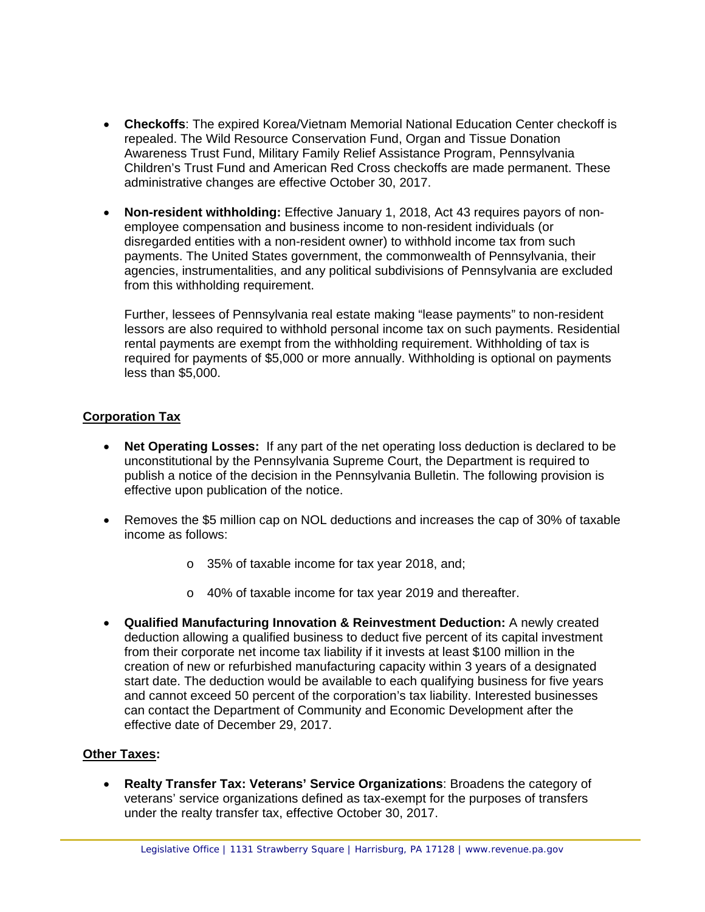- **Checkoffs**: The expired Korea/Vietnam Memorial National Education Center checkoff is repealed. The Wild Resource Conservation Fund, Organ and Tissue Donation Awareness Trust Fund, Military Family Relief Assistance Program, Pennsylvania Children's Trust Fund and American Red Cross checkoffs are made permanent. These administrative changes are effective October 30, 2017.
- **Non-resident withholding:** Effective January 1, 2018, Act 43 requires payors of nonemployee compensation and business income to non-resident individuals (or disregarded entities with a non-resident owner) to withhold income tax from such payments. The United States government, the commonwealth of Pennsylvania, their agencies, instrumentalities, and any political subdivisions of Pennsylvania are excluded from this withholding requirement.

Further, lessees of Pennsylvania real estate making "lease payments" to non-resident lessors are also required to withhold personal income tax on such payments. Residential rental payments are exempt from the withholding requirement. Withholding of tax is required for payments of \$5,000 or more annually. Withholding is optional on payments less than \$5,000.

### **Corporation Tax**

- **Net Operating Losses:** If any part of the net operating loss deduction is declared to be unconstitutional by the Pennsylvania Supreme Court, the Department is required to publish a notice of the decision in the Pennsylvania Bulletin. The following provision is effective upon publication of the notice.
- Removes the \$5 million cap on NOL deductions and increases the cap of 30% of taxable income as follows:
	- o 35% of taxable income for tax year 2018, and;
	- o 40% of taxable income for tax year 2019 and thereafter.
- **Qualified Manufacturing Innovation & Reinvestment Deduction:** A newly created deduction allowing a qualified business to deduct five percent of its capital investment from their corporate net income tax liability if it invests at least \$100 million in the creation of new or refurbished manufacturing capacity within 3 years of a designated start date. The deduction would be available to each qualifying business for five years and cannot exceed 50 percent of the corporation's tax liability. Interested businesses can contact the Department of Community and Economic Development after the effective date of December 29, 2017.

#### **Other Taxes:**

• **Realty Transfer Tax: Veterans' Service Organizations**: Broadens the category of veterans' service organizations defined as tax-exempt for the purposes of transfers under the realty transfer tax, effective October 30, 2017.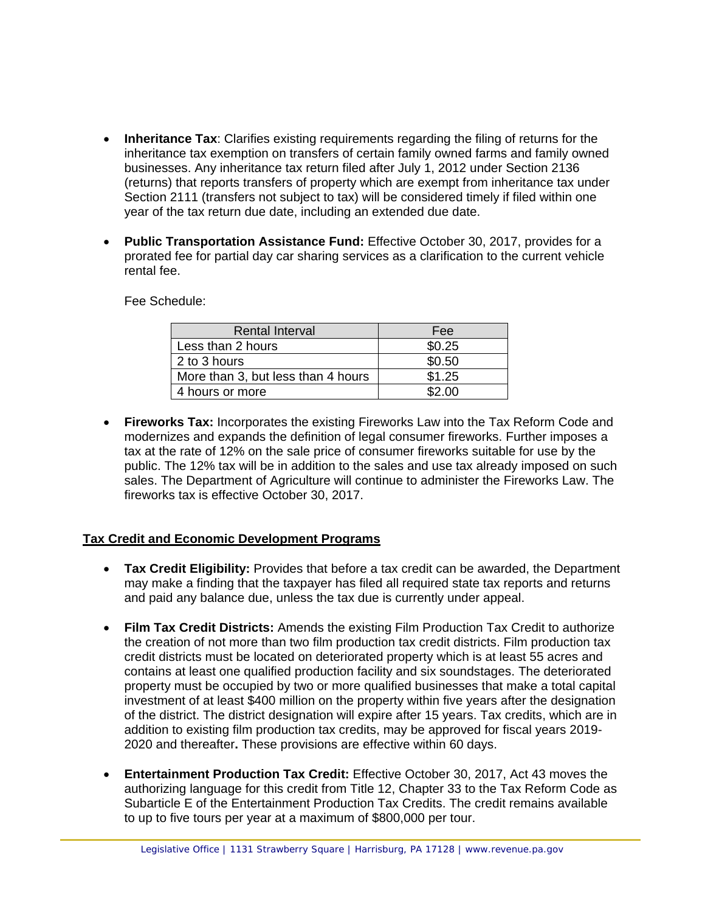- **Inheritance Tax**: Clarifies existing requirements regarding the filing of returns for the inheritance tax exemption on transfers of certain family owned farms and family owned businesses. Any inheritance tax return filed after July 1, 2012 under Section 2136 (returns) that reports transfers of property which are exempt from inheritance tax under Section 2111 (transfers not subject to tax) will be considered timely if filed within one year of the tax return due date, including an extended due date.
- **Public Transportation Assistance Fund:** Effective October 30, 2017, provides for a prorated fee for partial day car sharing services as a clarification to the current vehicle rental fee.

Fee Schedule:

| <b>Rental Interval</b>             | Fee    |
|------------------------------------|--------|
| Less than 2 hours                  | \$0.25 |
| 2 to 3 hours                       | \$0.50 |
| More than 3, but less than 4 hours | \$1.25 |
| 4 hours or more                    | \$2.00 |

• **Fireworks Tax:** Incorporates the existing Fireworks Law into the Tax Reform Code and modernizes and expands the definition of legal consumer fireworks. Further imposes a tax at the rate of 12% on the sale price of consumer fireworks suitable for use by the public. The 12% tax will be in addition to the sales and use tax already imposed on such sales. The Department of Agriculture will continue to administer the Fireworks Law. The fireworks tax is effective October 30, 2017.

#### **Tax Credit and Economic Development Programs**

- **Tax Credit Eligibility:** Provides that before a tax credit can be awarded, the Department may make a finding that the taxpayer has filed all required state tax reports and returns and paid any balance due, unless the tax due is currently under appeal.
- **Film Tax Credit Districts:** Amends the existing Film Production Tax Credit to authorize the creation of not more than two film production tax credit districts. Film production tax credit districts must be located on deteriorated property which is at least 55 acres and contains at least one qualified production facility and six soundstages. The deteriorated property must be occupied by two or more qualified businesses that make a total capital investment of at least \$400 million on the property within five years after the designation of the district. The district designation will expire after 15 years. Tax credits, which are in addition to existing film production tax credits, may be approved for fiscal years 2019- 2020 and thereafter**.** These provisions are effective within 60 days.
- **Entertainment Production Tax Credit:** Effective October 30, 2017, Act 43 moves the authorizing language for this credit from Title 12, Chapter 33 to the Tax Reform Code as Subarticle E of the Entertainment Production Tax Credits. The credit remains available to up to five tours per year at a maximum of \$800,000 per tour.